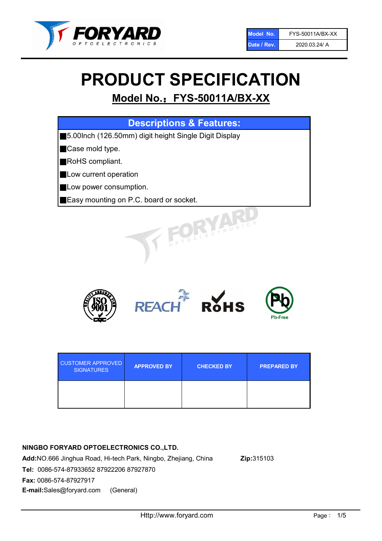

# PRODUCT SPECIFICATION

# Model No.: FYS-50011A/BX-XX

| <b>Descriptions &amp; Features:</b>                    |
|--------------------------------------------------------|
| ■5.00lnch (126.50mm) digit height Single Digit Display |
| Case mold type.                                        |
| RoHS compliant.                                        |
| Low current operation                                  |
| Low power consumption.                                 |
| Easy mounting on P.C. board or socket.                 |
| TOELECTRONIC                                           |



| <b>CUSTOMER APPROVED</b><br><b>SIGNATURES</b> | <b>APPROVED BY</b> | <b>CHECKED BY</b> | <b>PREPARED BY</b> |
|-----------------------------------------------|--------------------|-------------------|--------------------|
|                                               |                    |                   |                    |

# NINGBO FORYARD OPTOELECTRONICS CO.,LTD.

Add:NO.666 Jinghua Road, Hi-tech Park, Ningbo, Zhejiang, China Zip:315103 Tel: 0086-574-87933652 87922206 87927870 Fax: 0086-574-87927917 E-mail:Sales@foryard.com (General)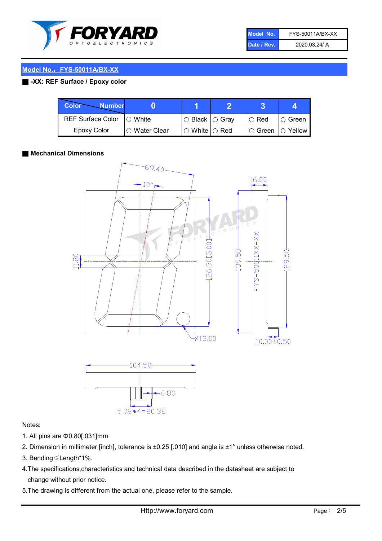

| Model No.   | FYS-50011A/BX-XX |
|-------------|------------------|
| Date / Rev. | 2020.03.24/ A    |

# Model No.: FYS-50011A/BX-XX

# ■ -XX: REF Surface / Epoxy color

| <b>Color</b><br><b>Number</b> |               |                            |               |             |
|-------------------------------|---------------|----------------------------|---------------|-------------|
| <b>REF Surface Color</b>      | $\cap$ White  | $\circ$ Black $\circ$ Gray | $\circ$ Red   | IO Green    |
| <b>Epoxy Color</b>            | ○ Water Clear | $\circ$ White $\circ$ Red  | $\circ$ Green | $IO$ Yellow |

### ■ Mechanical Dimensions



#### Notes:

- 1. All pins are Φ0.80[.031]mm
- 2. Dimension in millimeter [inch], tolerance is ±0.25 [.010] and angle is ±1° unless otherwise noted.
- 3. Bending≤Length\*1%.
- 4.The specifications,characteristics and technical data described in the datasheet are subject to change without prior notice.
- 5.The drawing is different from the actual one, please refer to the sample.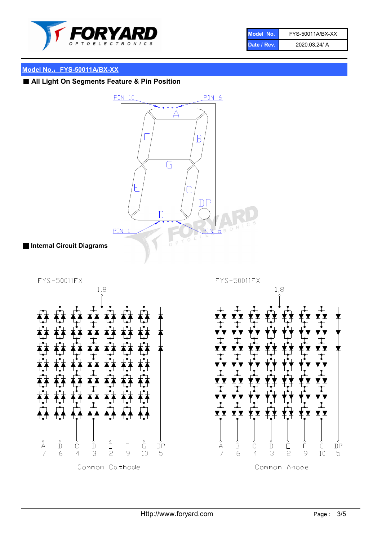

| Model No.   | FYS-50011A/BX-XX |
|-------------|------------------|
| Date / Rev. | 2020.03.24/ A    |

# Model No.: FYS-50011A/BX-XX

■ All Light On Segments Feature & Pin Position

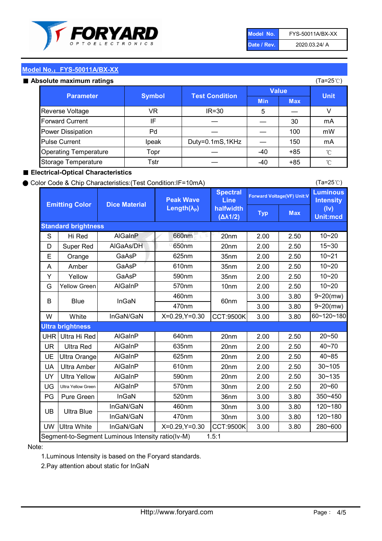

| Model No.   | FYS-50011A/BX-XX |
|-------------|------------------|
| Date / Rev. | 2020.03.24/ A    |

(Ta=25℃)

# Model No.: FYS-50011A/BX-XX

|  | Absolute maximum ratings |  |
|--|--------------------------|--|
|  |                          |  |

| <b>psolute maximum ratings</b> |               |                       |            |            | (Ta=25℃)     |
|--------------------------------|---------------|-----------------------|------------|------------|--------------|
| <b>Parameter</b>               |               | <b>Value</b>          |            |            |              |
|                                | <b>Symbol</b> | <b>Test Condition</b> | <b>Min</b> | <b>Max</b> | <b>Unit</b>  |
| Reverse Voltage                | VR            | $IR = 30$             | 5          |            | V            |
| <b>Forward Current</b>         | IF            |                       |            | 30         | mA           |
| Power Dissipation              | Pd            |                       |            | 100        | mW           |
| <b>Pulse Current</b>           | Ipeak         | Duty=0.1mS,1KHz       |            | 150        | mA           |
| <b>Operating Temperature</b>   | Topr          |                       | $-40$      | $+85$      | $^{\circ}$ C |
| Storage Temperature            | Tstr          |                       | -40        | $+85$      | $^{\circ}$ C |

## ■ Electrical-Optical Characteristics

#### ● Color Code & Chip Characteristics:(Test Condition:IF=10mA)

Typ Max S | Hi $\textsf{Red}$  | AlGaInP | 660nm LE 20nm | 2.00 | 2.50 D | Super Red | AIGaAs/DH | 650nm | 20nm | 2.00 | 2.50 E | Orange | GaAsP | 625nm | 35nm | 2.00 | 2.50 A | Amber | GaAsP | 610nm | 35nm | 2.00 | 2.50 Y | Yellow | GaAsP | 590nm | 35nm | 2.00 | 2.50 G Yellow Green AIGaInP | 570nm | 10nm | 2.00 | 2.50 3.00 3.80 3.00 3.80 W | White | InGaN/GaN | X=0.29,Y=0.30 |CCT:9500K| 3.00 | 3.80 UHR Ultra Hi Red | AlGaInP | 640nm | 20nm | 2.00 | 2.50 UR | Ultra Red | AlGaInP | 635nm | 20nm | 2.00 | 2.50 UE Ultra Orange | AIGaInP | 625nm | 20nm | 2.00 | 2.50 UA Ultra Amber | AIGaInP | 610nm | 20nm | 2.00 | 2.50  $UV$  Ultra Yellow  $\vert$  AlGaInP  $\vert$  590nm  $\vert$  20nm  $\vert$  2.00  $\vert$  2.50  $\text{UG}$  Ultra Yellow Green | AIGaInP | 570nm | 30nm | 2.00 | 2.50 PG Pure Green | InGaN | 520nm | 36nm | 3.00 | 3.80 30nm 3.00 3.80 30nm 3.00 3.80 UW |Ultra White | InGaN/GaN | X=0.29,Y=0.30 |CCT:9500K| 3.00 | 3.80 10~20 Standard brightness Forward Voltage(VF) Unit:V 15~30 10~20 10~20 625nm GaAsP 590nm **Emitting Color Dice Material** 10~21 610nm Luminous **Intensity** (Iv) Unit:mcd AlGainP 660nm GaAsP GaAsP AlGaAs/DH **Spectral** Line halfwidth (∆λ1/2) Peak Wave Length $(\lambda_{\rm P})$ UB 460nm 635nm AlGaInP AlGaInP AlGaInP InGaN/GaN AlGaInP | 570nm | 10nm | 2.00 | 2.50 | 10~20 30~105 30~135 460nm 520nm Ultra brightness **AlGaInP** AlGaInP 60nm AlGaInP 640nm Segment-to-Segment Luminous Intensity ratio(Iv-M) 1.5:1 610nm 9~20(mw) 350~450 470nm 120~180 120~180 Ultra Blue InGaN/GaN InGaN/GaN 9~20(mw) 20~50 280~600 570nm | 30nm | 2.00 | 2.50 | 20~60 470nm 590nm InGaN/GaN B Blue I InGaN 40~85 60~120~180 40~70

### Note:

1.Luminous Intensity is based on the Foryard standards.

2.Pay attention about static for InGaN